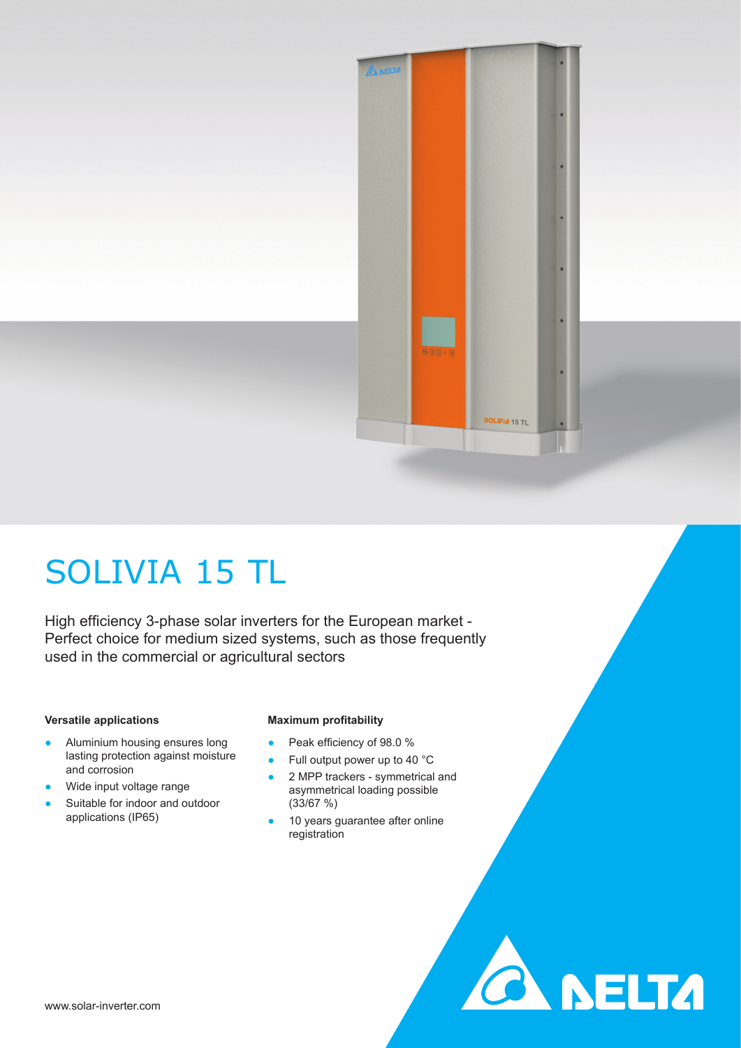

**CA NELTA** 

# SOLIVIA 15 TL

High efficiency 3-phase solar inverters for the European market -Perfect choice for medium sized systems, such as those frequently used in the commercial or agricultural sectors

### **Versatile applications**

- Aluminium housing ensures long lasting protection against moisture and corrosion
- Wide input voltage range
- Suitable for indoor and outdoor applications (IP65)

## **Maximum profitability**

- Peak efficiency of 98.0 %
- Full output power up to 40 °C ● 2 MPP trackers - symmetrical and
- asymmetrical loading possible (33/67 %)
- 10 years guarantee after online registration